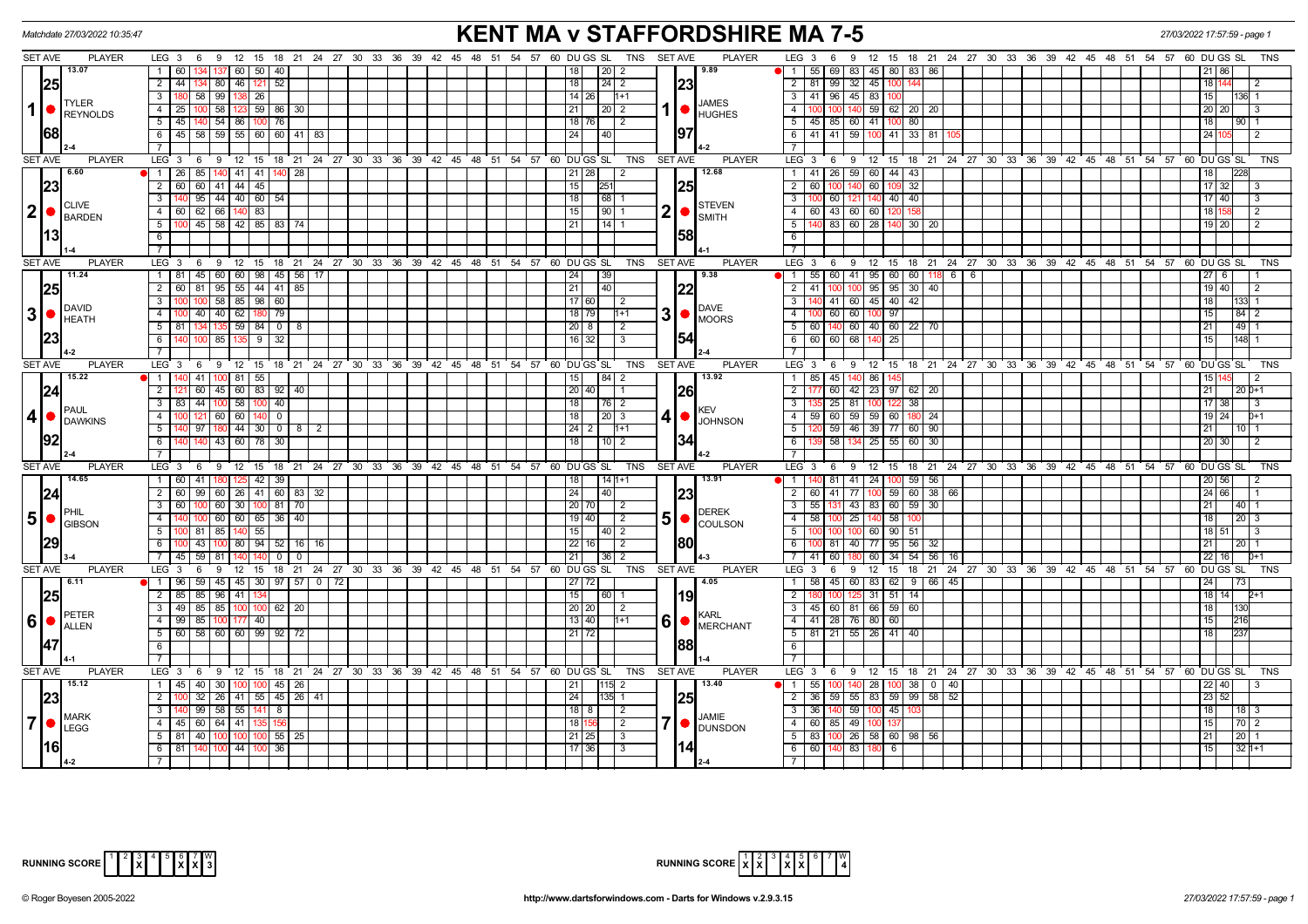|                | Matchdate 27/03/2022 10:35:47                                   |                                                                                     | <b>KENT MA v STAFFORDSHIRE MA 7-5</b>                                           | 27/03/2022 17:57:59 - page 1                                                                                                                                                                                                                                                                                                                                                                                           |                                                                                                       |                            |
|----------------|-----------------------------------------------------------------|-------------------------------------------------------------------------------------|---------------------------------------------------------------------------------|------------------------------------------------------------------------------------------------------------------------------------------------------------------------------------------------------------------------------------------------------------------------------------------------------------------------------------------------------------------------------------------------------------------------|-------------------------------------------------------------------------------------------------------|----------------------------|
| <b>SET AVE</b> | <b>PLAYER</b>                                                   |                                                                                     | LEG 3 6 9 12 15 18 21 24 27 30 33 36 39 42 45 48 51 54 57 60 DUGS SL TNS SETAVE | <b>PLAYER</b>                                                                                                                                                                                                                                                                                                                                                                                                          | LEG <sub>3</sub><br>9 12 15 18 21 24 27 30 33 36 39 42 45 48 51 54 57 60 DUGS SL<br>- 6               | TNS                        |
|                | 13.07                                                           | 60 50 40<br>$\overline{1}$<br>  60                                                  | 20<br>2                                                                         | 9.89                                                                                                                                                                                                                                                                                                                                                                                                                   | 55 69 83 45 80 83 86<br>$\overline{1}$                                                                |                            |
|                | 25                                                              | 2   44  <br>134   80   46  <br>52<br>121                                            | 18<br>24<br>$\overline{2}$                                                      | 23                                                                                                                                                                                                                                                                                                                                                                                                                     | 81 99 32 45 1<br>2                                                                                    | 18   1                     |
|                | <b>TYLER</b>                                                    | 58 99 138<br>3<br>26                                                                | $\overline{14}$   26<br>$H + 1$                                                 | <b>JAMES</b>                                                                                                                                                                                                                                                                                                                                                                                                           | 3 41 96 45 83                                                                                         | 15 <sup>1</sup><br>l136l 1 |
| $\mathbf{1}$   | <b>REYNOLDS</b>                                                 | 58   123   59   86   30<br>4   25                                                   | 21<br>$\sqrt{2}$<br>20                                                          | <b>HUGHES</b>                                                                                                                                                                                                                                                                                                                                                                                                          | $\overline{4}$<br>140 59 62 20 20                                                                     | 20 20                      |
|                |                                                                 | 45 <br>140 54 86<br>$100$ 76<br>5                                                   | 18 76<br>2                                                                      |                                                                                                                                                                                                                                                                                                                                                                                                                        | $5\sqrt{2}$<br>45 85 60 41 1<br>80                                                                    | 18<br>l 90 I 1             |
|                | <b>68</b>                                                       | 6 45 58 59 55 60 60 41 83                                                           | 24 I<br>l 40                                                                    | 97                                                                                                                                                                                                                                                                                                                                                                                                                     | $6$ 41 41 59 100 41 33 81                                                                             | 24 I                       |
|                |                                                                 |                                                                                     |                                                                                 |                                                                                                                                                                                                                                                                                                                                                                                                                        |                                                                                                       |                            |
| <b>SET AVE</b> | <b>PLAYER</b>                                                   | LEG <sup>3</sup>                                                                    | 6 9 12 15 18 21 24 27 30 33 36 39 42 45 48 51 54 57 60 DUGS SL<br>TNS           | <b>SET AVE</b><br><b>PLAYER</b>                                                                                                                                                                                                                                                                                                                                                                                        | LEG 3 6<br>9 12 15 18 21 24 27 30 33 36 39 42 45 48 51 54 57 60 DUGS SL                               | <b>TNS</b>                 |
|                | 6.60                                                            | 1   26   85   140   41   41   140   28                                              | 21 28 <br>-2                                                                    | 12.68                                                                                                                                                                                                                                                                                                                                                                                                                  | 1 41 26 59 60 44 43                                                                                   | 22<br>18                   |
|                | 23                                                              | 2 60 60 41 44 45                                                                    | 15<br>251                                                                       | 25                                                                                                                                                                                                                                                                                                                                                                                                                     | $\overline{2}$<br>60 1<br>32<br>60 100<br>140                                                         | 17132                      |
|                | <b>CLIVE</b>                                                    | $95 \mid 44 \mid 40 \mid 60 \mid 54 \mid$<br>$\overline{\mathbf{3}}$                | 18<br> 68                                                                       | <b>STEVEN</b>                                                                                                                                                                                                                                                                                                                                                                                                          | 100 60 121 140 40 40<br>$\overline{\phantom{a}3}$                                                     | $17$ 40<br>l 3             |
|                | $ 2  \bullet  _{\text{BARDEN}}^{\text{CLIVE}}$                  | $-4$                                                                                | 15<br>$90$ 1                                                                    | 2 •<br><b>I</b> SMITH                                                                                                                                                                                                                                                                                                                                                                                                  | 4 60 43 60 60 120<br>158                                                                              | 18 1<br>l 2                |
|                |                                                                 | 100   45   58   42   85   83   74<br>5                                              | 21<br> 14                                                                       |                                                                                                                                                                                                                                                                                                                                                                                                                        | 5 140 83 60 28 140 30 20                                                                              | 19   20                    |
|                | 13                                                              | 6                                                                                   |                                                                                 | 58                                                                                                                                                                                                                                                                                                                                                                                                                     | 6<br>$\overline{7}$                                                                                   |                            |
| <b>SET AVE</b> | <b>PLAYER</b>                                                   | LEG <sub>3</sub><br>6                                                               | 9 12 15 18 21 24 27 30 33 36 39 42 45 48 51 54 57 60 DUGS SL<br>TNS             | <b>SET AVE</b><br><b>PLAYER</b>                                                                                                                                                                                                                                                                                                                                                                                        | $LEG_3$ 6<br>9 12 15 18 21 24 27 30 33 36 39 42 45 48 51 54 57 60 DUGS SL                             | <b>TNS</b>                 |
|                | 11.24                                                           | 45 60 60 98 45 56 17<br>$1 \mid 81$                                                 | 24<br>39                                                                        | 9.38                                                                                                                                                                                                                                                                                                                                                                                                                   | 55 60 41 95 60<br>60 118 6 6<br>$\overline{1}$                                                        | 6                          |
|                | 25                                                              | 81 95 55 44 41 85<br>$\overline{2}$<br>l 60 l                                       | 21 <br>$ 40\rangle$                                                             | 22                                                                                                                                                                                                                                                                                                                                                                                                                     | 41<br>95 95 30 40<br>$\overline{2}$<br>100                                                            | 19   40  <br>$\sqrt{2}$    |
|                |                                                                 | 58 85 98 60<br>3<br>100 l                                                           | 17 60 <br>2                                                                     |                                                                                                                                                                                                                                                                                                                                                                                                                        | $\overline{3}$<br>140 41 60 45 40 42                                                                  | 18                         |
|                | DAVID<br>$3  \bullet  _{HEATH}^{DAVID}$                         | 40<br>$40 \mid 62$<br>79<br>$\overline{4}$                                          | 18 79<br>$1 + 1$                                                                | <b>DAVE</b><br>3 <sup>1</sup>                                                                                                                                                                                                                                                                                                                                                                                          | $\overline{4}$<br>100 60<br>60 100 97                                                                 | 84   2                     |
|                |                                                                 | 59<br>$84$ 0<br>5                                                                   | $20 \mid 8$                                                                     | $\bigcap_{MOORS}$                                                                                                                                                                                                                                                                                                                                                                                                      | 5<br>60 40 60<br>60<br>22 70                                                                          | 149 1<br>21                |
|                | 23                                                              | 32<br>85 135<br>9<br>6<br>100                                                       | $16$ 32<br>3                                                                    | 154                                                                                                                                                                                                                                                                                                                                                                                                                    | 6<br>60 60<br>68<br>140 25                                                                            | 148 1<br>15 <sup>1</sup>   |
|                |                                                                 |                                                                                     |                                                                                 |                                                                                                                                                                                                                                                                                                                                                                                                                        | $\overline{7}$                                                                                        |                            |
| <b>SET AVE</b> | <b>PLAYER</b>                                                   | LEG <sub>3</sub>                                                                    | 6 9 12 15 18 21 24 27 30 33 36 39 42 45 48 51 54 57 60 DUGS SL<br>TNS           | <b>SET AVE</b><br><b>PLAYER</b>                                                                                                                                                                                                                                                                                                                                                                                        | LEG $3$ 6<br>9 12 15 18 21 24 27 30 33 36 39 42 45 48 51 54 57 60 DUGS SL                             | <b>TNS</b>                 |
|                | 15.22                                                           | $\blacksquare$<br>41<br>81 55                                                       | 84<br>15<br>2                                                                   | 13.92                                                                                                                                                                                                                                                                                                                                                                                                                  | $\overline{1}$<br>45<br>86<br>85<br>140                                                               | 15 <sub>l</sub>            |
|                | 24                                                              | $\overline{2}$<br>60 45 60 83 92 40                                                 | 20 40                                                                           | 26                                                                                                                                                                                                                                                                                                                                                                                                                     | $\overline{2}$<br>60 42 23 97<br>62 20                                                                | 21<br>l 20 IO+1            |
|                | <b>PAUL</b>                                                     | 44<br>$100$ 58<br>$\overline{40}$<br>$\overline{\mathbf{3}}$<br>100                 | 18<br>  76   2                                                                  | <b>IKEV</b>                                                                                                                                                                                                                                                                                                                                                                                                            | $\overline{3}$<br>81<br>38<br>25                                                                      | 17 38                      |
| 4 <sup>1</sup> | <b>DAWKINS</b>                                                  | 121 60 60<br>$\overline{4}$<br>$\overline{\mathbf{0}}$<br>140                       | 18<br>$20$   3                                                                  | $4  \bullet  $ JOHNSON                                                                                                                                                                                                                                                                                                                                                                                                 | 59 60 59 59 60<br>4<br>180 24                                                                         | 19 24<br>$D+1$             |
|                |                                                                 | $\boxed{97}$ 180 44 30 0 8 2<br>5                                                   | $24$   2<br>$H + 1$                                                             |                                                                                                                                                                                                                                                                                                                                                                                                                        | 5<br>59 46 39 77 60 90                                                                                | 21 I<br>l 10 I 1           |
|                | 92                                                              | 43   60   78   30  <br>6   1                                                        | 18<br>10   2                                                                    | 34                                                                                                                                                                                                                                                                                                                                                                                                                     | $6 \overline{6}$<br>58<br>134 25 55 60 30                                                             | 20   30                    |
|                |                                                                 |                                                                                     |                                                                                 |                                                                                                                                                                                                                                                                                                                                                                                                                        | $\overline{7}$                                                                                        |                            |
| <b>SET AVE</b> | <b>PLAYER</b>                                                   | $LEG \ 3$<br>9 12 15 18 21 24 27 30 33 36 39 42 45 48 51<br>6                       | 54 57 60 DUGS SL<br><b>TNS</b>                                                  | <b>SET AVE</b><br><b>PLAYER</b>                                                                                                                                                                                                                                                                                                                                                                                        | LEG <sub>3</sub><br>6<br>9 12 15 18 21 24 27 30 33 36 39 42 45 48 51 54 57 60 DUGS SL                 | <b>TNS</b>                 |
|                | 14.65                                                           | 1   60   41   180   125   42   39                                                   | 18  <br>$141+1$                                                                 | 13.91                                                                                                                                                                                                                                                                                                                                                                                                                  | 1   140   81   41   24   100   59   56                                                                | 20   56                    |
|                | 24                                                              | 99   60   26   41   60   83   32<br>$2 \mid 60$                                     | 24 <br>40                                                                       | 23 <br><b>DEREK</b><br>5 <sub>1</sub>                                                                                                                                                                                                                                                                                                                                                                                  | $\overline{77}$<br>100 59 60 38 66<br>$\overline{2}$<br>60 41                                         | 24 66                      |
|                | <b>IPHIL</b>                                                    | 100 60 30 100 81 70<br>$\overline{3}$<br>60<br>100 60 60 65 36 40<br>$\overline{4}$ | 20 70<br>-2<br>19   40                                                          |                                                                                                                                                                                                                                                                                                                                                                                                                        | $\overline{\phantom{a}3}$<br>55 131<br>43 83 60 59 30<br>58 100 25 140 58                             | 211<br> 40 1<br>12013      |
|                |                                                                 | $100$ 81 85 $140$ 55<br>5                                                           | $\sqrt{2}$<br>15<br> 40 2                                                       | $\bigcirc$ $\bigcirc$ $\bigcirc$ $\bigcirc$ $\bigcirc$ $\bigcirc$ $\bigcirc$ $\bigcirc$ $\bigcirc$ $\bigcirc$ $\bigcirc$ $\bigcirc$ $\bigcirc$ $\bigcirc$ $\bigcirc$ $\bigcirc$ $\bigcirc$ $\bigcirc$ $\bigcirc$ $\bigcirc$ $\bigcirc$ $\bigcirc$ $\bigcirc$ $\bigcirc$ $\bigcirc$ $\bigcirc$ $\bigcirc$ $\bigcirc$ $\bigcirc$ $\bigcirc$ $\bigcirc$ $\bigcirc$ $\bigcirc$ $\bigcirc$ $\bigcirc$ $\bigcirc$ $\bigcirc$ | $-4$<br>5<br>100 60 90<br>$100 - 100$<br>51                                                           | l 18 I<br>  18   51        |
|                | <b>29</b>                                                       | 43 100 80 94 52 16 16<br>6                                                          | $\overline{22}$<br>  16                                                         | 80                                                                                                                                                                                                                                                                                                                                                                                                                     | 100 81 40 77 95 56 32<br>6                                                                            | 21                         |
|                |                                                                 | 59<br>$\overline{7}$<br> 45 <br>81<br>$\overline{0}$<br>$\overline{0}$              | 21<br>36<br>-2                                                                  |                                                                                                                                                                                                                                                                                                                                                                                                                        | $\overline{7}$<br>$54$ 56 16<br>41<br>60<br>60 34                                                     | 22   16  <br>$n+1$         |
| <b>SET AVE</b> | <b>PLAYER</b>                                                   | LEG <sup>3</sup><br>6<br>9<br>12                                                    | 15 18 21 24 27 30 33 36 39 42 45 48 51 54 57 60 DUGS SL<br>TNS                  | <b>SET AVE</b><br><b>PLAYER</b>                                                                                                                                                                                                                                                                                                                                                                                        | LEG <sup>®</sup><br>6<br>9<br>12<br>ີ 15<br>18 21 24 27 30 33 36 39 42 45 48 51 54 57 60 DUGS SL<br>3 | <b>TNS</b>                 |
|                | 16.11                                                           | $59$   45   45   30   97   57   0   72<br>1 96                                      | 27 72                                                                           | 4.05                                                                                                                                                                                                                                                                                                                                                                                                                   | 58 45 60 83 62<br>9   66   45<br>$\overline{1}$                                                       |                            |
|                | 25                                                              | 85 96 41<br>2<br>l 85.                                                              | 15 <sup>1</sup><br>l 60 I                                                       | 191                                                                                                                                                                                                                                                                                                                                                                                                                    | $\overline{2}$<br>$31 \mid 51$<br>14                                                                  | 18   14  <br>12+1          |
|                |                                                                 | 49   85   85   100   100   62   20<br>$\mathbf{3}$                                  | 20 20<br>2                                                                      |                                                                                                                                                                                                                                                                                                                                                                                                                        | $\overline{\phantom{a}3}$<br>45 60 81 66 59 60                                                        |                            |
|                | $6$ $\bullet$ $\bullet$ $\bullet$ $\bullet$ $\bullet$ $\bullet$ | 85<br>40<br>$\overline{4}$<br>-99                                                   | 13 40 <br>$1+1$                                                                 | <b>KARL</b><br>6<br>MERCHANT                                                                                                                                                                                                                                                                                                                                                                                           | 4 4 41 28 76 80 60                                                                                    | 15                         |
|                |                                                                 | 58 60 60 99 92 72<br>5<br>60                                                        | 21 72                                                                           |                                                                                                                                                                                                                                                                                                                                                                                                                        | $\overline{5}$<br>81 21 55 26 41 40                                                                   | 18                         |
|                | 147                                                             | 6                                                                                   |                                                                                 | 88                                                                                                                                                                                                                                                                                                                                                                                                                     | 6                                                                                                     |                            |
|                |                                                                 |                                                                                     |                                                                                 |                                                                                                                                                                                                                                                                                                                                                                                                                        | $\overline{7}$                                                                                        |                            |
| <b>SET AVE</b> | <b>PLAYER</b>                                                   | LEG 3 6 9 12 15 18 21 24 27 30 33 36 39 42 45 48 51 54 57 60 DUGS SL                | TNS SET AVE                                                                     | <b>PLAYER</b>                                                                                                                                                                                                                                                                                                                                                                                                          | LEG 3 6 9 12 15 18 21 24 27 30 33 36 39 42 45 48 51 54 57 60 DUGS SL                                  | <b>TNS</b>                 |
|                | 15.12                                                           | 1 45 40 30<br>$100$ 45 $26$                                                         | 21<br>2                                                                         | 13.40                                                                                                                                                                                                                                                                                                                                                                                                                  | 140 28 100 38 0 40<br>$\overline{1}$<br>55                                                            | $22$   40                  |
|                | 23                                                              | $32$   26   41   55   45   26   41<br>$\overline{2}$                                | 24                                                                              | 25                                                                                                                                                                                                                                                                                                                                                                                                                     | $\overline{2}$<br>36 59 55 83 59 99 58 52                                                             | 23 52                      |
|                | <b>MARK</b>                                                     | 99<br>$58$ 55<br>$\overline{\mathbf{3}}$<br>8<br>141                                | $18$   8<br>2                                                                   | JAMIE                                                                                                                                                                                                                                                                                                                                                                                                                  | $\overline{\mathbf{3}}$<br>36<br>59<br>$100 - 45$                                                     | 18<br>18 3                 |
| 7 <sup>1</sup> | <b>LEGG</b>                                                     | 60 64 41<br>$\overline{4}$<br>45 I<br>156                                           | 18<br>$\overline{2}$                                                            | <b>DUNSDON</b>                                                                                                                                                                                                                                                                                                                                                                                                         | 49 100 137<br>4<br>60 85                                                                              | 17012<br>15                |
|                |                                                                 | 81 40 100<br>$55 \mid 25$                                                           | 21 25<br>$\overline{3}$                                                         |                                                                                                                                                                                                                                                                                                                                                                                                                        | 5 <sup>1</sup><br>26 58 60 98 56<br>83                                                                | $\vert 20 \vert$ 1<br>  21 |
|                | <b>16</b>                                                       | 36<br> 44 <br>l 81 l<br>- 6                                                         | 17 36<br>3                                                                      | 141                                                                                                                                                                                                                                                                                                                                                                                                                    | $6 \mid$<br>60 140<br>83 180 6                                                                        | $132h+1$<br>  15           |
|                |                                                                 |                                                                                     |                                                                                 |                                                                                                                                                                                                                                                                                                                                                                                                                        | $\overline{7}$                                                                                        |                            |



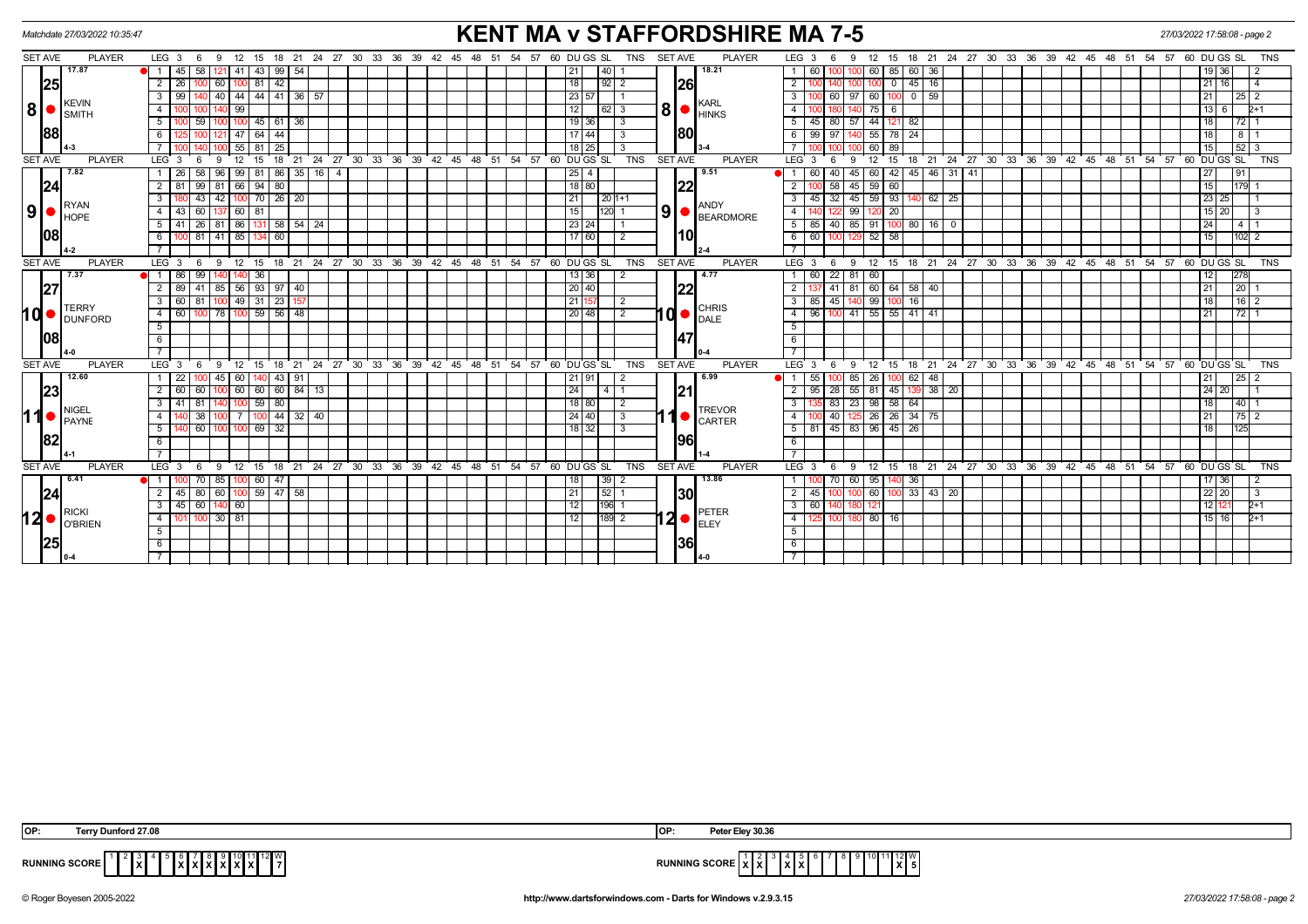|                | Matchdate 27/03/2022 10:35:47 |                                                               |                |                   |             |     |                       |                                   |               |         |  |  | <b>KENT MA v STAFFORDSHIRE MA 7-5</b>                      |    |       |    |    |    |    |  |                 |                |                |                |                                                           |               | 27/03/2022 17:58:08 - page 2 |                   |                 |                    |                             |              |                |              |  |  |                                                         |  |  |  |  |                 |                |               |                 |
|----------------|-------------------------------|---------------------------------------------------------------|----------------|-------------------|-------------|-----|-----------------------|-----------------------------------|---------------|---------|--|--|------------------------------------------------------------|----|-------|----|----|----|----|--|-----------------|----------------|----------------|----------------|-----------------------------------------------------------|---------------|------------------------------|-------------------|-----------------|--------------------|-----------------------------|--------------|----------------|--------------|--|--|---------------------------------------------------------|--|--|--|--|-----------------|----------------|---------------|-----------------|
| <b>SET AVE</b> |                               | <b>PLAYER</b>                                                 | $LEG_3$ 6      |                   |             | 9   |                       |                                   |               |         |  |  | 12 15 18 21 24 27 30 33 36 39 42 45 48 51 54 57 60 DUGS SL |    |       |    |    |    |    |  |                 |                | TNS            | <b>SET AVE</b> |                                                           | <b>PLAYER</b> |                              | LEG <sub>3</sub>  |                 | 9                  | 12                          |              |                |              |  |  | 15 18 21 24 27 30 33 36 39 42 45 48 51 54 57 60 DUGS SL |  |  |  |  |                 |                |               | <b>TNS</b>      |
|                |                               | 17.87                                                         |                | 45                | 58          | 121 | 41   43               |                                   | $99 \mid 54$  |         |  |  |                                                            |    |       |    |    |    |    |  |                 | 40             |                |                |                                                           | 18.21         |                              |                   |                 |                    | 60                          |              | 85 60 36       |              |  |  |                                                         |  |  |  |  |                 | 19   36        |               | -2              |
|                | 25                            |                                                               | $\overline{2}$ | <b>26</b>         |             | 60  | 81                    | 42                                |               |         |  |  |                                                            |    |       |    |    |    |    |  | 18 <sup>1</sup> | $92$   2       |                |                | <b>26</b>                                                 |               |                              | 2 <sup>1</sup>    |                 |                    |                             | $\mathbf{0}$ | $45$ 16        |              |  |  |                                                         |  |  |  |  |                 | 21  <br>16 I   |               | $\overline{4}$  |
|                |                               |                                                               | 3              | 99                |             |     |                       | 40 44 44 41 36 57                 |               |         |  |  |                                                            |    |       |    |    |    |    |  | 23 57           |                |                |                |                                                           |               |                              | 3 I               | 60              |                    | 97 60                       |              | $100$ 0 59     |              |  |  |                                                         |  |  |  |  |                 | 21             |               |                 |
| 8 •            |                               | KEVIN                                                         | $\overline{4}$ |                   |             |     | 99                    |                                   |               |         |  |  |                                                            |    |       |    |    |    |    |  | 12              | 62   3         |                | 8              | KARL<br><b>HINKS</b>                                      |               | $\overline{4}$               |                   |                 | 75                 | 6                           |              |                |              |  |  |                                                         |  |  |  |  | 13  <br>6       |                | $2+1$         |                 |
|                |                               | <b>SMITH</b>                                                  | 5              |                   | 59   100    |     |                       | $100$ 45 61 36                    |               |         |  |  |                                                            |    |       |    |    |    |    |  | $19$ 36         |                | $\sqrt{3}$     |                |                                                           |               | $5 \mid 45 \mid$             |                   | 80 57 44        |                    | $121 \ 82$                  |              |                |              |  |  |                                                         |  |  |  |  | 18 <sup>1</sup> | 72   1         |               |                 |
|                | <b>88</b>                     |                                                               | 6              |                   |             | 121 | 47   64               | 44                                |               |         |  |  |                                                            |    |       |    |    |    |    |  | 17 44           |                | -3             |                | 180                                                       |               | 6                            | - 99              | 97              |                    | 55                          | 78 24        |                |              |  |  |                                                         |  |  |  |  |                 | 18             | 8   1         |                 |
|                |                               |                                                               |                |                   |             |     |                       | $55$ 81 $25$                      |               |         |  |  |                                                            |    |       |    |    |    |    |  | 18 25           |                | -3             |                |                                                           |               |                              |                   | 100             |                    | 60                          | 89           |                |              |  |  |                                                         |  |  |  |  | 15              |                | 52 3          |                 |
| <b>SET AVE</b> |                               | <b>PLAYER</b>                                                 | $LEG_3$        |                   | -6          | -9  | 12<br>15              | 18                                | $^{\circ}$ 21 |         |  |  | 24 27 30 33 36 39 42 45 48 51 54 57 60 DUGS SL             |    |       |    |    |    |    |  |                 |                | <b>TNS</b>     | <b>SET AVE</b> |                                                           | <b>PLAYER</b> |                              | $LEG \ 3$         | - 6             | 9                  | 12                          | 15           | $^{\circ}$ 18  |              |  |  | 21 24 27 30 33 36 39 42 45 48 51 54 57 60 DUGS SL       |  |  |  |  |                 |                |               | <b>TNS</b>      |
|                |                               | 7.82                                                          |                | 26 l              | 58 96 1     |     |                       | $99$   81   86   35   16   4      |               |         |  |  |                                                            |    |       |    |    |    |    |  | 25 4            |                |                |                |                                                           | 9.51          |                              |                   | 40              |                    | $45 \ 60$                   |              | 42 45 46 31 41 |              |  |  |                                                         |  |  |  |  | 27              |                | 91            |                 |
|                | 24                            |                                                               | 2 I            | -81               |             |     |                       | $99$ 81 66 94 80                  |               |         |  |  |                                                            |    |       |    |    |    |    |  | $18$ 80         |                |                |                | 122                                                       |               |                              | 2                 | 58              |                    | $45 \mid 59$                | 60           |                |              |  |  |                                                         |  |  |  |  |                 | 15             | 179           |                 |
|                |                               |                                                               | 3              |                   | 43          | 42  |                       | 100 70 26 20                      |               |         |  |  |                                                            |    |       |    |    |    |    |  | 21              | 20   1 + 1     |                |                |                                                           |               |                              | 3<br>l 45         | $\overline{32}$ |                    | $45 \overline{\smash{)}59}$ | 93           |                | $62 \mid 25$ |  |  |                                                         |  |  |  |  |                 | 23<br>25       |               |                 |
|                |                               | RYAN<br>$9$ $\bullet$ $\mathsf{RYAN}$                         | 4 I            | 43 60 137         |             |     | 60 81                 |                                   |               |         |  |  |                                                            |    |       |    |    |    |    |  | 15              | $120$ 1        |                | 9 <sup>1</sup> | <b>ANDY</b><br>BEARDMORE                                  |               |                              | 4 I               |                 |                    | 99 120 20                   |              |                |              |  |  |                                                         |  |  |  |  |                 | $15$  <br>20 I |               | $\vert$ 3       |
|                |                               |                                                               | $5\sqrt{ }$    |                   |             |     |                       | 26   81   86   131   58   54   24 |               |         |  |  |                                                            |    |       |    |    |    |    |  | 23 24           |                |                |                |                                                           |               |                              | $5 \mid 85$       |                 | 40 85 91           |                             |              | 100 80 16 0    |              |  |  |                                                         |  |  |  |  |                 | 24             | 4   1         |                 |
|                | 108                           |                                                               | 6              |                   |             |     |                       | 81 41 85 134 60                   |               |         |  |  |                                                            |    |       |    |    |    |    |  | $\sqrt{17}$ 60  |                | 2              |                |                                                           |               |                              | $6 \overline{60}$ |                 | 100 129 52 58      |                             |              |                |              |  |  |                                                         |  |  |  |  |                 | 15             | 102 2         |                 |
|                |                               |                                                               | $\overline{7}$ |                   |             |     |                       |                                   |               |         |  |  |                                                            |    |       |    |    |    |    |  |                 |                |                |                |                                                           |               |                              | $\overline{7}$    |                 |                    |                             |              |                |              |  |  |                                                         |  |  |  |  |                 |                |               |                 |
| <b>SET AVE</b> |                               | <b>PLAYER</b>                                                 | $LEG_3$        |                   | 6<br>- 9    |     |                       |                                   |               |         |  |  | 12 15 18 21 24 27 30 33 36 39 42 45 48 51 54 57 60 DUGS SL |    |       |    |    |    |    |  |                 |                | <b>TNS</b>     | SET AVE        |                                                           | <b>PLAYER</b> |                              | LEG <sup>3</sup>  | 6               | 9                  | 12                          |              |                |              |  |  | 15 18 21 24 27 30 33 36 39 42 45 48 51 54 57 60 DUGS SL |  |  |  |  |                 |                |               | <b>TNS</b>      |
|                |                               | 7.37<br><b>TERRY</b><br><b>DUNFORD</b>                        | ●I 1 I         | 86                | 99          |     | 36                    |                                   |               |         |  |  |                                                            |    |       |    |    |    |    |  | 13 36           |                | $\overline{2}$ |                | 4.77<br> 22<br><b>CHRIS</b><br>۱d<br>DALE                 |               |                              | 1 60              |                 | $22$ 81            | 60                          |              |                |              |  |  |                                                         |  |  |  |  |                 | 12             | 278           |                 |
|                | 27                            |                                                               | 2              |                   |             |     |                       | 89 41 85 56 93 97 40              |               |         |  |  |                                                            |    |       |    |    |    |    |  | 20 40           |                |                |                |                                                           |               |                              | 2 <sub>1</sub>    |                 | 41 81 60 64 58 40  |                             |              |                |              |  |  |                                                         |  |  |  |  | 21              |                | 20 1          |                 |
|                |                               |                                                               | 3              | 60 81             |             | 100 |                       | 49 31 23                          | 157           |         |  |  |                                                            |    |       |    |    |    |    |  | 21 15           |                | $\overline{2}$ |                |                                                           |               |                              | $3 \mid 85$       |                 | 45                 | 140 99                      | 100          | 16             |              |  |  |                                                         |  |  |  |  |                 | 18             | 16 2          |                 |
| l 0            |                               |                                                               | 4 I            | 60 100 78         |             |     |                       | $100$ 59 56 48                    |               |         |  |  |                                                            |    |       |    |    |    |    |  | 20 48           |                | $\overline{2}$ |                |                                                           |               |                              | 4 96              |                 | 100 41 55 55 41 41 |                             |              |                |              |  |  |                                                         |  |  |  |  | 21              |                | $\sqrt{72}$ 1 |                 |
|                |                               |                                                               | 5              |                   |             |     |                       |                                   |               |         |  |  |                                                            |    |       |    |    |    |    |  |                 |                |                |                |                                                           |               | $5\overline{)}$              |                   |                 |                    |                             |              |                |              |  |  |                                                         |  |  |  |  |                 |                |               |                 |
|                | 108                           |                                                               | 6              |                   |             |     |                       |                                   |               |         |  |  |                                                            |    |       |    |    |    |    |  |                 |                |                |                |                                                           |               | 6                            |                   |                 |                    |                             |              |                |              |  |  |                                                         |  |  |  |  |                 |                |               |                 |
|                |                               |                                                               |                |                   |             |     |                       |                                   |               |         |  |  |                                                            |    |       |    |    |    |    |  |                 |                |                |                |                                                           |               |                              |                   |                 |                    |                             |              |                |              |  |  |                                                         |  |  |  |  |                 |                |               |                 |
| <b>SET AVE</b> |                               | <b>PLAYER</b>                                                 | $LEG_3$        |                   | - 6         | - 9 | 12 <sup>2</sup><br>15 | 18                                |               |         |  |  | 21 24 27 30 33 36 39 42 45 48 51 54 57 60 DUGS SL          |    |       |    |    |    |    |  |                 |                | <b>TNS</b>     | <b>SET AVE</b> |                                                           | <b>PLAYER</b> |                              | LEG <sub>3</sub>  |                 | 9                  | 12                          | 15           |                |              |  |  | 18 21 24 27 30 33 36 39 42 45 48 51 54 57 60 DUGS SL    |  |  |  |  |                 |                |               | <b>TNS</b>      |
|                |                               | 12.60                                                         |                | 22                |             | 45  | 60   140              | 43                                | 91            |         |  |  |                                                            |    |       |    |    |    |    |  |                 |                |                |                |                                                           | 6.99          |                              | 55                |                 | 85                 | 26                          |              | 100 62 48      |              |  |  |                                                         |  |  |  |  | 21              |                | 25 2          |                 |
|                | 23                            |                                                               | 2              | 60                |             | 100 |                       | 60 60 60 84                       |               | 13      |  |  |                                                            |    |       |    |    |    |    |  | 24              | $\overline{4}$ |                |                | 21                                                        |               |                              | $2 \mid 95$       | 28              |                    | $55$ 81                     | 45           |                | $38$ 20      |  |  |                                                         |  |  |  |  |                 | 24 20          |               | $\overline{11}$ |
|                |                               | <b>NIGEL</b>                                                  | 3              | -41               | 81          |     |                       | $100$ 59 80                       |               |         |  |  |                                                            |    |       |    |    |    |    |  | 18 80           |                | 2              |                |                                                           | <b>TREVOR</b> |                              | دی                | 83              |                    | 23 98 58 64                 |              |                |              |  |  |                                                         |  |  |  |  |                 | 18             | $40$   1      |                 |
| ∣1             |                               | PAYNE                                                         | 4              |                   | 38          |     |                       | 44                                |               | 32   40 |  |  |                                                            |    |       |    |    |    |    |  | 24 40           |                | -3             |                |                                                           | <b>CARTER</b> |                              | $\overline{4}$    | 40              |                    | 26                          |              | 26 34 75       |              |  |  |                                                         |  |  |  |  | 21              |                | 75   2        |                 |
|                |                               |                                                               | 5 <sup>1</sup> |                   | 60   100    |     |                       | $100$ 69 $32$                     |               |         |  |  |                                                            |    |       |    |    |    |    |  | 18 32           |                | 3              |                |                                                           |               |                              | 5   81            |                 | 45 83 96 45 26     |                             |              |                |              |  |  |                                                         |  |  |  |  |                 | 18             | 125           |                 |
|                | 82                            |                                                               | 6              |                   |             |     |                       |                                   |               |         |  |  |                                                            |    |       |    |    |    |    |  |                 |                |                |                | 1961                                                      |               | 6                            |                   |                 |                    |                             |              |                |              |  |  |                                                         |  |  |  |  |                 |                |               |                 |
|                |                               |                                                               | $\overline{7}$ |                   |             |     |                       |                                   |               |         |  |  |                                                            |    |       |    |    |    |    |  |                 |                |                |                |                                                           |               | $\overline{7}$               |                   |                 |                    |                             |              |                |              |  |  |                                                         |  |  |  |  |                 |                |               |                 |
| <b>SET AVE</b> |                               | <b>PLAYER</b>                                                 | $LEG_3$        |                   | - 6         | - 9 | $12 \quad 15$         |                                   |               |         |  |  | 18 21 24 27 30 33 36                                       | 39 | 42 45 | 48 | 51 | 54 | 57 |  | 60 DU GS SL     |                | TNS            | <b>SET AVE</b> |                                                           | <b>PLAYER</b> |                              | LEG <sub>3</sub>  | - 6             | - 9                | ີ 12                        | 15           |                |              |  |  | 18 21 24 27 30 33 36 39 42 45 48 51 54 57 60 DUGS SL    |  |  |  |  |                 |                |               | <b>TNS</b>      |
|                |                               | 6.41                                                          | OI 1 I         |                   | $70$ 85     |     |                       | 100 60 47                         |               |         |  |  |                                                            |    |       |    |    |    |    |  | 18              | $39$ $2$       |                |                |                                                           | 13.86         |                              |                   | 70              | 60 I               | 95                          |              | 36             |              |  |  |                                                         |  |  |  |  |                 | 17   36        |               | -2              |
|                | 24                            |                                                               | 2 <sup>1</sup> |                   |             |     |                       | 45   80   60   100   59   47   58 |               |         |  |  |                                                            |    |       |    |    |    |    |  | 21              | $52$   1       |                |                | 130                                                       |               |                              | $2 \mid 45$       |                 |                    | $100$ 60                    |              | 100 33 43 20   |              |  |  |                                                         |  |  |  |  |                 | 22 20          |               | $\vert$ 3       |
|                |                               | <b>RICKI</b>                                                  | 3 <sup>1</sup> | $45 \mid 60 \mid$ |             | 140 | 60                    |                                   |               |         |  |  |                                                            |    |       |    |    |    |    |  | $\overline{12}$ | 196 1          |                |                | $ 2 \bullet  _{\text{\tiny{ELEY}}}^{\text{\tiny{PETER}}}$ |               |                              | $3 \mid 60$       |                 |                    |                             |              |                |              |  |  |                                                         |  |  |  |  |                 | 12             |               | $2+1$           |
|                |                               | $12$ $\bullet$ $\big _{\text{O}'\text{BRIEN}}^{\text{RICKI}}$ | 4              |                   | $100$ 30 81 |     |                       |                                   |               |         |  |  |                                                            |    |       |    |    |    |    |  | 12              | $189$ 2        |                |                |                                                           |               |                              | 4 <sup>1</sup>    |                 | 100 180 80 16      |                             |              |                |              |  |  |                                                         |  |  |  |  |                 | 15 16          |               | $2+1$           |
|                |                               |                                                               | 5              |                   |             |     |                       |                                   |               |         |  |  |                                                            |    |       |    |    |    |    |  |                 |                |                |                |                                                           |               |                              | 5                 |                 |                    |                             |              |                |              |  |  |                                                         |  |  |  |  |                 |                |               |                 |
|                | 25                            |                                                               | 6              |                   |             |     |                       |                                   |               |         |  |  |                                                            |    |       |    |    |    |    |  |                 |                |                |                | 36                                                        |               |                              | 6                 |                 |                    |                             |              |                |              |  |  |                                                         |  |  |  |  |                 |                |               |                 |
|                |                               |                                                               | $\overline{7}$ |                   |             |     |                       |                                   |               |         |  |  |                                                            |    |       |    |    |    |    |  |                 |                |                |                |                                                           |               |                              |                   |                 |                    |                             |              |                |              |  |  |                                                         |  |  |  |  |                 |                |               |                 |

| IOP:                 | unford 27.08<br>errv | <b>OP</b>   | v 30.36<br>'uu                    |
|----------------------|----------------------|-------------|-----------------------------------|
| <b>RUNNING SCORE</b> | 11 12 V<br>.<br>. .  | <b>RUNN</b> | 1111W.<br>lxl:<br>- - - - סטט מיי |